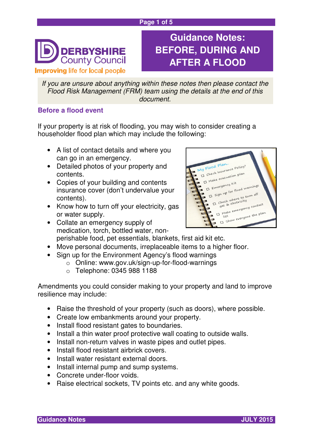#### **Page 1 of 5**



# **Guidance Notes: BEFORE, DURING AND AFTER A FLOOD**

If you are unsure about anything within these notes then please contact the Flood Risk Management (FRM) team using the details at the end of this document.

# **Before a flood event**

If your property is at risk of flooding, you may wish to consider creating a householder flood plan which may include the following:

- A list of contact details and where you can go in an emergency.
- Detailed photos of your property and contents.
- Copies of your building and contents insurance cover (don't undervalue your contents).
- Know how to turn off your electricity, gas or water supply.
- Collate an emergency supply of medication, torch, bottled water, non-



- perishable food, pet essentials, blankets, first aid kit etc.
- Move personal documents, irreplaceable items to a higher floor.
- Sign up for the Environment Agency's flood warnings
	- o Online: www.gov.uk/sign-up-for-flood-warnings
	- o Telephone: 0345 988 1188

Amendments you could consider making to your property and land to improve resilience may include:

- Raise the threshold of your property (such as doors), where possible.
- Create low embankments around your property.
- Install flood resistant gates to boundaries.
- Install a thin water proof protective wall coating to outside walls.
- Install non-return valves in waste pipes and outlet pipes.
- Install flood resistant airbrick covers.
- Install water resistant external doors.
- Install internal pump and sump systems.
- Concrete under-floor voids.
- Raise electrical sockets, TV points etc. and any white goods.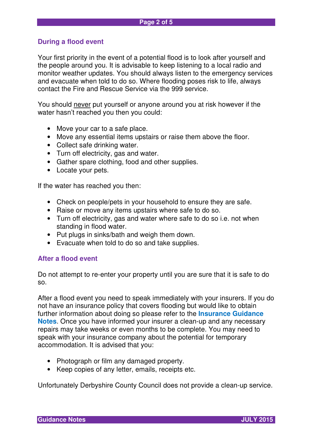# **During a flood event**

Your first priority in the event of a potential flood is to look after yourself and the people around you. It is advisable to keep listening to a local radio and monitor weather updates. You should always listen to the emergency services and evacuate when told to do so. Where flooding poses risk to life, always contact the Fire and Rescue Service via the 999 service.

You should never put yourself or anyone around you at risk however if the water hasn't reached you then you could:

- Move your car to a safe place.
- Move any essential items upstairs or raise them above the floor.
- Collect safe drinking water.
- Turn off electricity, gas and water.
- Gather spare clothing, food and other supplies.
- Locate your pets.

If the water has reached you then:

- Check on people/pets in your household to ensure they are safe.
- Raise or move any items upstairs where safe to do so.
- Turn off electricity, gas and water where safe to do so i.e. not when standing in flood water.
- Put plugs in sinks/bath and weigh them down.
- Evacuate when told to do so and take supplies.

#### **After a flood event**

Do not attempt to re-enter your property until you are sure that it is safe to do so.

After a flood event you need to speak immediately with your insurers. If you do not have an insurance policy that covers flooding but would like to obtain further information about doing so please refer to the **Insurance Guidance Notes**. Once you have informed your insurer a clean-up and any necessary repairs may take weeks or even months to be complete. You may need to speak with your insurance company about the potential for temporary accommodation. It is advised that you:

- Photograph or film any damaged property.
- Keep copies of any letter, emails, receipts etc.

Unfortunately Derbyshire County Council does not provide a clean-up service.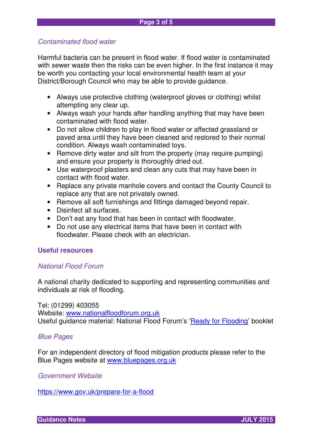# Contaminated flood water

Harmful bacteria can be present in flood water. If flood water is contaminated with sewer waste then the risks can be even higher. In the first instance it may be worth you contacting your local environmental health team at your District/Borough Council who may be able to provide guidance.

- Always use protective clothing (waterproof gloves or clothing) whilst attempting any clear up.
- Always wash your hands after handling anything that may have been contaminated with flood water.
- Do not allow children to play in flood water or affected grassland or paved area until they have been cleaned and restored to their normal condition. Always wash contaminated toys.
- Remove dirty water and silt from the property (may require pumping) and ensure your property is thoroughly dried out.
- Use waterproof plasters and clean any cuts that may have been in contact with flood water.
- Replace any private manhole covers and contact the County Council to replace any that are not privately owned.
- Remove all soft furnishings and fittings damaged beyond repair.
- Disinfect all surfaces.
- Don't eat any food that has been in contact with floodwater.
- Do not use any electrical items that have been in contact with floodwater. Please check with an electrician.

# **Useful resources**

# National Flood Forum

A national charity dedicated to supporting and representing communities and individuals at risk of flooding.

Tel: (01299) 403055

Website: www.nationalfloodforum.org.uk Useful guidance material: National Flood Forum's 'Ready for Flooding' booklet

# Blue Pages

For an independent directory of flood mitigation products please refer to the Blue Pages website at www.bluepages.org.uk

Government Website

https://www.gov.uk/prepare-for-a-flood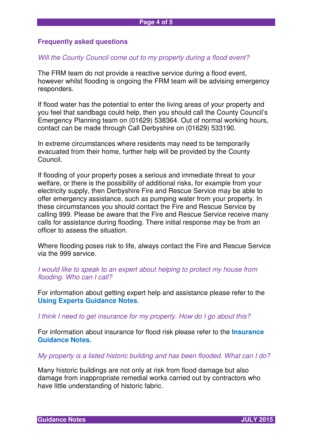#### **Frequently asked questions**

#### Will the County Council come out to my property during a flood event?

The FRM team do not provide a reactive service during a flood event, however whilst flooding is ongoing the FRM team will be advising emergency responders.

If flood water has the potential to enter the living areas of your property and you feel that sandbags could help, then you should call the County Council's Emergency Planning team on (01629) 538364. Out of normal working hours, contact can be made through Call Derbyshire on (01629) 533190.

In extreme circumstances where residents may need to be temporarily evacuated from their home, further help will be provided by the County Council.

If flooding of your property poses a serious and immediate threat to your welfare, or there is the possibility of additional risks, for example from your electricity supply, then Derbyshire Fire and Rescue Service may be able to offer emergency assistance, such as pumping water from your property. In these circumstances you should contact the Fire and Rescue Service by calling 999. Please be aware that the Fire and Rescue Service receive many calls for assistance during flooding. There initial response may be from an officer to assess the situation.

Where flooding poses risk to life, always contact the Fire and Rescue Service via the 999 service.

I would like to speak to an expert about helping to protect my house from flooding. Who can I call?

For information about getting expert help and assistance please refer to the **Using Experts Guidance Notes**.

I think I need to get insurance for my property. How do I go about this?

For information about insurance for flood risk please refer to the **Insurance Guidance Notes.** 

My property is a listed historic building and has been flooded. What can I do?

Many historic buildings are not only at risk from flood damage but also damage from inappropriate remedial works carried out by contractors who have little understanding of historic fabric.